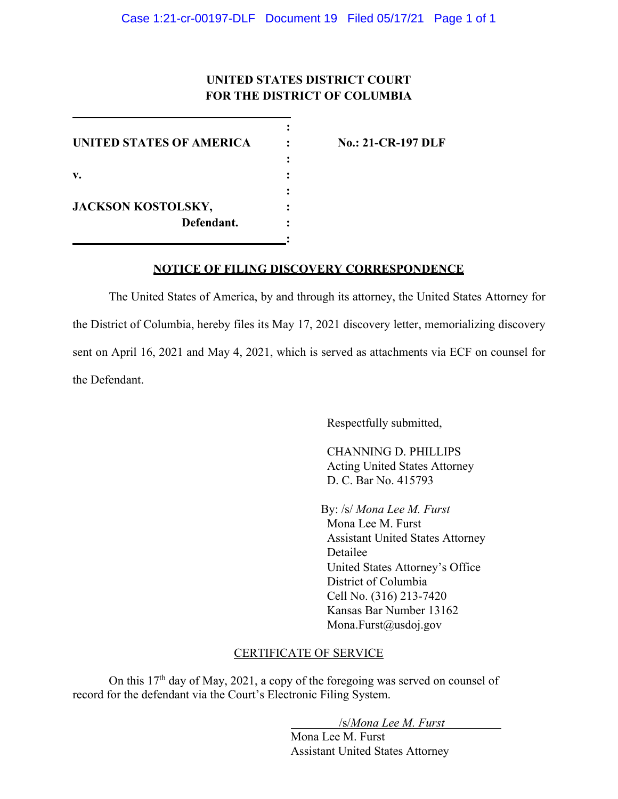## **UNITED STATES DISTRICT COURT FOR THE DISTRICT OF COLUMBIA**

**:**

**:**

**:** 

**:**

**UNITED STATES OF AMERICA : No.: 21-CR-197 DLF v. : JACKSON KOSTOLSKY, : Defendant. :**

## **NOTICE OF FILING DISCOVERY CORRESPONDENCE**

The United States of America, by and through its attorney, the United States Attorney for the District of Columbia, hereby files its May 17, 2021 discovery letter, memorializing discovery sent on April 16, 2021 and May 4, 2021, which is served as attachments via ECF on counsel for the Defendant.

Respectfully submitted,

CHANNING D. PHILLIPS Acting United States Attorney D. C. Bar No. 415793

By: /s/ *Mona Lee M. Furst*  Mona Lee M. Furst Assistant United States Attorney Detailee United States Attorney's Office District of Columbia Cell No. (316) 213-7420 Kansas Bar Number 13162 Mona.Furst@usdoj.gov

## CERTIFICATE OF SERVICE

On this 17th day of May, 2021, a copy of the foregoing was served on counsel of record for the defendant via the Court's Electronic Filing System.

/s/*Mona Lee M. Furst*

Mona Lee M. Furst Assistant United States Attorney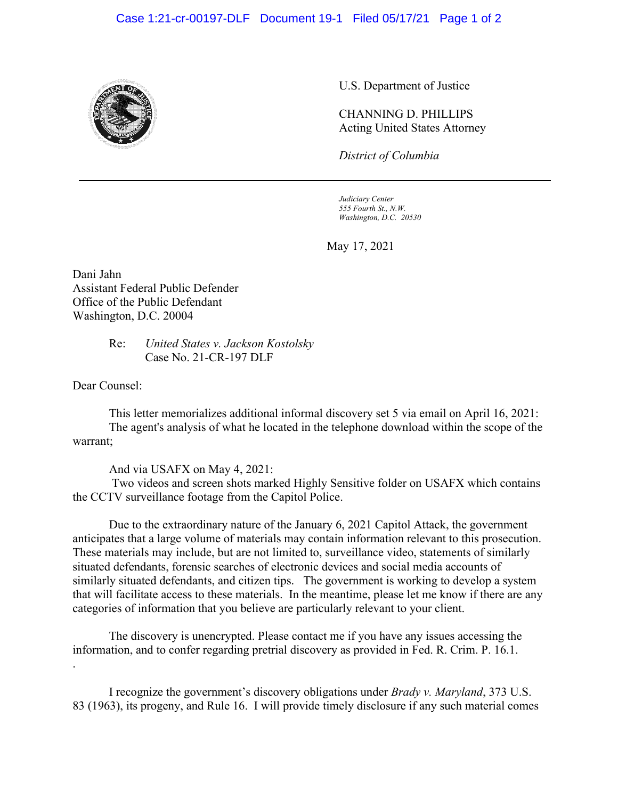## Case 1:21-cr-00197-DLF Document 19-1 Filed 05/17/21 Page 1 of 2



U.S. Department of Justice

CHANNING D. PHILLIPS Acting United States Attorney

*District of Columbia*

*Judiciary Center 555 Fourth St., N.W. Washington, D.C. 20530*

May 17, 2021

Dani Jahn Assistant Federal Public Defender Office of the Public Defendant Washington, D.C. 20004

> Re: *United States v. Jackson Kostolsky* Case No. 21-CR-197 DLF

Dear Counsel:

.

This letter memorializes additional informal discovery set 5 via email on April 16, 2021: The agent's analysis of what he located in the telephone download within the scope of the warrant;

And via USAFX on May 4, 2021:

Two videos and screen shots marked Highly Sensitive folder on USAFX which contains the CCTV surveillance footage from the Capitol Police.

Due to the extraordinary nature of the January 6, 2021 Capitol Attack, the government anticipates that a large volume of materials may contain information relevant to this prosecution. These materials may include, but are not limited to, surveillance video, statements of similarly situated defendants, forensic searches of electronic devices and social media accounts of similarly situated defendants, and citizen tips. The government is working to develop a system that will facilitate access to these materials. In the meantime, please let me know if there are any categories of information that you believe are particularly relevant to your client.

The discovery is unencrypted. Please contact me if you have any issues accessing the information, and to confer regarding pretrial discovery as provided in Fed. R. Crim. P. 16.1.

I recognize the government's discovery obligations under *Brady v. Maryland*, 373 U.S. 83 (1963), its progeny, and Rule 16. I will provide timely disclosure if any such material comes